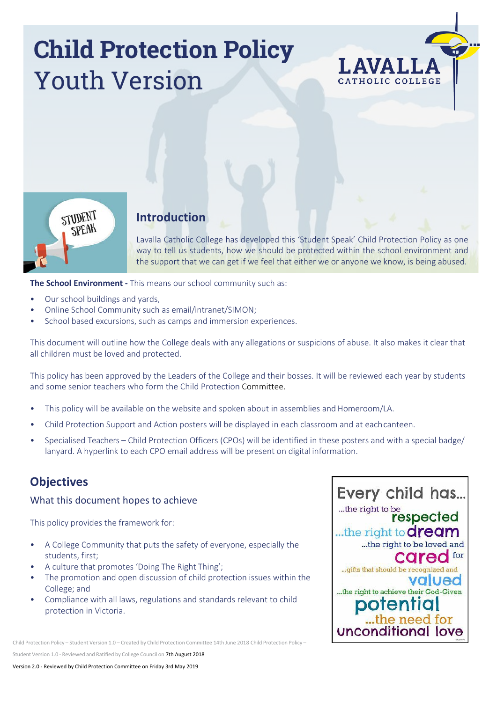# **Child Protection Policy** Youth Version





# **Introduction**

Lavalla Catholic College has developed this 'Student Speak' Child Protection Policy as one way to tell us students, how we should be protected within the school environment and the support that we can get if we feel that either we or anyone we know, is being abused.

**The School Environment -** This means our school community such as:

- Our school buildings and yards,
- Online School Community such as email/intranet/SIMON;
- School based excursions, such as camps and immersion experiences.

This document will outline how the College deals with any allegations or suspicions of abuse. It also makes it clear that all children must be loved and protected.

This policy has been approved by the Leaders of the College and their bosses. It will be reviewed each year by students and some senior teachers who form the Child Protection Committee.

- This policy will be available on the website and spoken about in assemblies and Homeroom/LA.
- Child Protection Support and Action posters will be displayed in each classroom and at eachcanteen.
- Specialised Teachers Child Protection Officers (CPOs) will be identified in these posters and with a special badge/ lanyard. A hyperlink to each CPO email address will be present on digital information.

# **Objectives**

#### What this document hopes to achieve

This policy provides the framework for:

- A College Community that puts the safety of everyone, especially the students, first;
- A culture that promotes 'Doing The Right Thing';
- The promotion and open discussion of child protection issues within the College; and
- Compliance with all laws, regulations and standards relevant to child protection in Victoria.

Child Protection Policy – Student Version 1.0 – Created by Child Protection Committee 14th June 2018 Child Protection Policy –

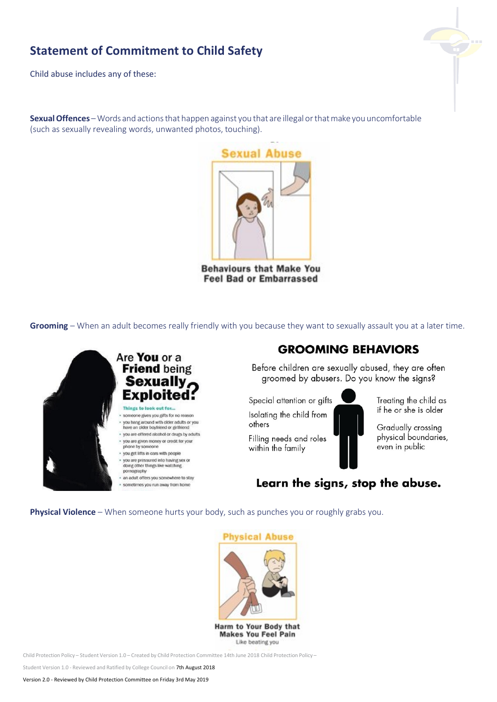# **Statement of Commitment to Child Safety**

Child abuse includes any of these:

**SexualOffences** – Words and actionsthat happen against you that are illegal or thatmake you uncomfortable (such as sexually revealing words, unwanted photos, touching).

**Sexual Abuse** 

**Behaviours that Make You Feel Bad or Embarrassed** 

**Grooming** – When an adult becomes really friendly with you because they want to sexually assault you at a later time.



# **GROOMING BEHAVIORS**

Before children are sexually abused, they are often groomed by abusers. Do you know the signs?

Special attention or gifts Isolating the child from others

Filling needs and roles within the family



Treating the child as if he or she is older

Gradually crossing physical boundaries, even in public

Learn the signs, stop the abuse.

**Physical Violence** – When someone hurts your body, such as punches you or roughly grabs you.



Harm to Your Body that **Makes You Feel Pain** Like beating you

Child Protection Policy – Student Version 1.0 – Created by Child Protection Committee 14th June 2018 Child Protection Policy –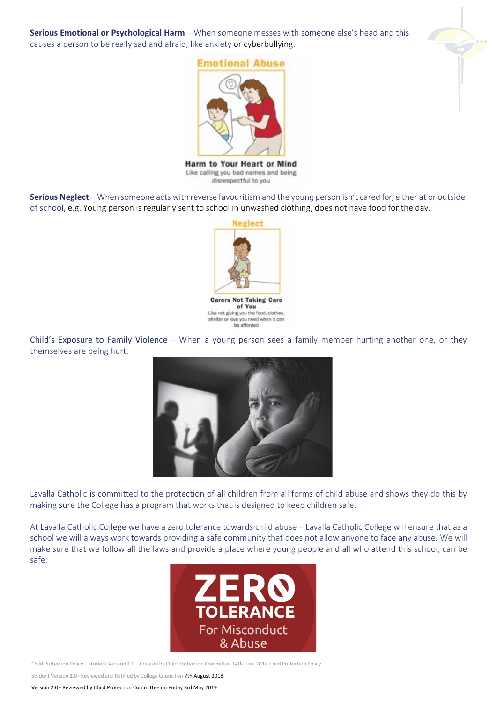causes a person to be really sad and afraid, like anxiety or cyberbullying.

**Serious Emotional or Psychological Harm** – When someone messes with someone else's head and this



**Emotional Abuse** 

Harm to Your Heart or Mind Like calling you bad names and being disrespectful to you

**Serious Neglect** – When someone acts with reverse favouritism and the young person isn't cared for, either at or outside of school, e.g. Young person is regularly sent to school in unwashed clothing, does not have food for the day.



of You Like not giving you the food, clothes, shelter or love you need when it can be afforded

Child's Exposure to Family Violence – When a young person sees a family member hurting another one, or they themselves are being hurt.



Lavalla Catholic is committed to the protection of all children from all forms of child abuse and shows they do this by making sure the College has a program that works that is designed to keep children safe.

At Lavalla Catholic College we have a zero tolerance towards child abuse – Lavalla Catholic College will ensure that as a school we will always work towards providing a safe community that does not allow anyone to face any abuse. We will make sure that we follow all the laws and provide a place where young people and all who attend this school, can be safe.



Child Protection Policy – Student Version 1.0 – Created by Child Protection Committee 14th June 2018 Child Protection Policy –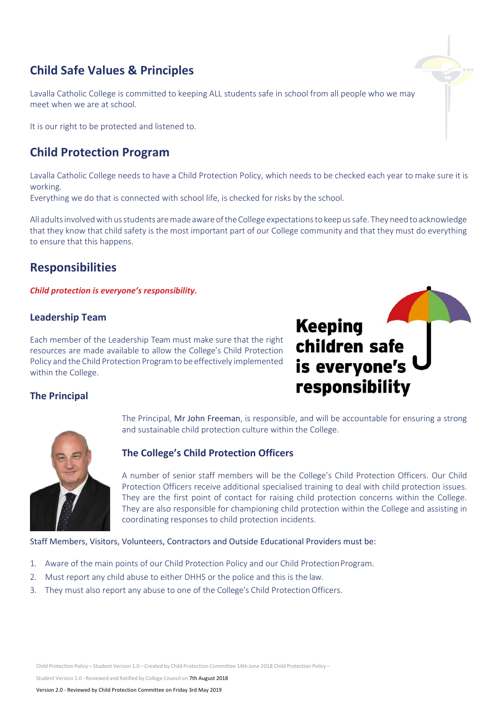# **Child Safe Values & Principles**

Lavalla Catholic College is committed to keeping ALL students safe in school from all people who we may meet when we are at school.

It is our right to be protected and listened to.

## **Child Protection Program**

Lavalla Catholic College needs to have a Child Protection Policy, which needs to be checked each year to make sure it is working.

Everything we do that is connected with school life, is checked for risks by the school.

All adultsinvolvedwith usstudents aremade aware of theCollege expectationsto keepussafe. They need to acknowledge that they know that child safety is the most important part of our College community and that they must do everything to ensure that this happens.

# **Responsibilities**

*Child protection is everyone's responsibility.*

#### **Leadership Team**

Each member of the Leadership Team must make sure that the right resources are made available to allow the College's Child Protection Policy and the Child Protection Programto be effectively implemented within the College.

# **Keeping** children safe is everyone's responsibility

#### **The Principal**





#### **The College's Child Protection Officers**

A number of senior staff members will be the College's Child Protection Officers. Our Child Protection Officers receive additional specialised training to deal with child protection issues. They are the first point of contact for raising child protection concerns within the College. They are also responsible for championing child protection within the College and assisting in coordinating responses to child protection incidents.

Staff Members, Visitors, Volunteers, Contractors and Outside Educational Providers must be:

- 1. Aware of the main points of our Child Protection Policy and our Child Protection Program.
- 2. Must report any child abuse to either DHHS or the police and this is the law.
- 3. They must also report any abuse to one of the College's Child Protection Officers.

Child Protection Policy – Student Version 1.0 – Created by Child Protection Committee 14th June 2018 Child Protection Policy –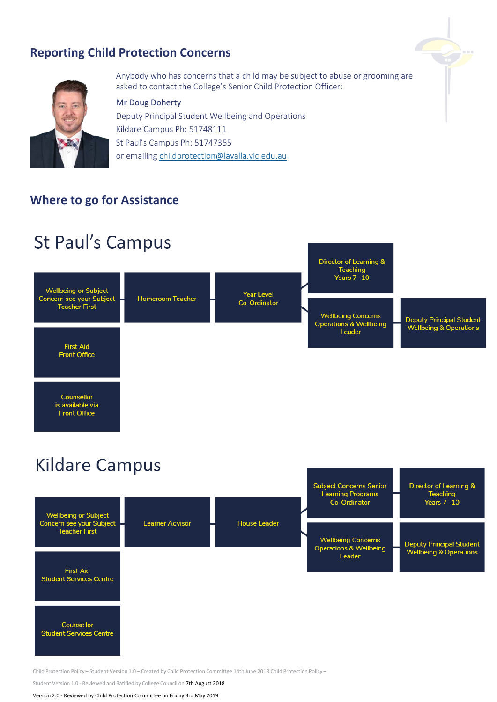# **Reporting Child Protection Concerns**



Anybody who has concerns that a child may be subject to abuse or grooming are asked to contact the College's Senior Child Protection Officer:

#### Mr Doug Doherty

Deputy Principal Student Wellbeing and Operations Kildare Campus Ph: 51748111 St Paul's Campus Ph: 51747355 or emailing [childprotection@lavalla.vic.edu.au](mailto:childprotection@lavalla.vic.edu.au)

### **Where to go for Assistance**

# St Paul's Campus



# **Kildare Campus**



Child Protection Policy – Student Version 1.0 – Created by Child Protection Committee 14th June 2018 Child Protection Policy –